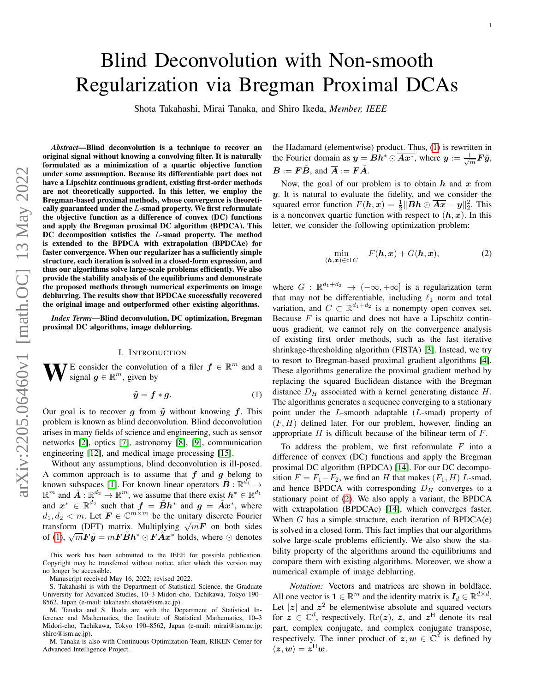# Blind Deconvolution with Non-smooth Regularization via Bregman Proximal DCAs

Shota Takahashi, Mirai Tanaka, and Shiro Ikeda, *Member, IEEE*

*Abstract*—Blind deconvolution is a technique to recover an original signal without knowing a convolving filter. It is naturally formulated as a minimization of a quartic objective function under some assumption. Because its differentiable part does not have a Lipschitz continuous gradient, existing first-order methods are not theoretically supported. In this letter, we employ the Bregman-based proximal methods, whose convergence is theoretically guaranteed under the  $L$ -smad property. We first reformulate the objective function as a difference of convex (DC) functions and apply the Bregman proximal DC algorithm (BPDCA). This DC decomposition satisfies the L-smad property. The method is extended to the BPDCA with extrapolation (BPDCAe) for faster convergence. When our regularizer has a sufficiently simple structure, each iteration is solved in a closed-form expression, and thus our algorithms solve large-scale problems efficiently. We also provide the stability analysis of the equilibriums and demonstrate the proposed methods through numerical experiments on image deblurring. The results show that BPDCAe successfully recovered the original image and outperformed other existing algorithms.

*Index Terms*—Blind deconvolution, DC optimization, Bregman proximal DC algorithms, image deblurring.

#### I. INTRODUCTION

**W** E consider the convolution of a filer  $f \in \mathbb{R}^m$  and a signal  $g \in \mathbb{R}^m$ , given by signal  $g \in \mathbb{R}^m$ , given by

$$
\tilde{y} = f * g. \tag{1}
$$

Our goal is to recover g from  $\tilde{y}$  without knowing f. This problem is known as blind deconvolution. Blind deconvolution arises in many fields of science and engineering, such as sensor networks [\[2\]](#page-4-0), optics [\[7\]](#page-4-1), astronomy [\[8\]](#page-4-2), [\[9\]](#page-4-3), communication engineering [\[12\]](#page-4-4), and medical image processing [\[15\]](#page-4-5).

Without any assumptions, blind deconvolution is ill-posed. A common approach is to assume that  $f$  and  $g$  belong to known subspaces [\[1\]](#page-4-6). For known linear operators  $\tilde{B}$  :  $\mathbb{R}^{d_1}$   $\rightarrow$  $\mathbb{R}^m$  and  $\tilde{A}: \mathbb{R}^{d_2} \to \mathbb{R}^m$ , we assume that there exist  $h^* \in \mathbb{R}^{d_1}$ and  $x^* \in \mathbb{R}^{d_2}$  such that  $f = \tilde{B} h^*$  and  $g = \tilde{A} x^*$ , where  $d_1, d_2 < m$ . Let  $\mathbf{F} \in \mathbb{C}^{m \times m}$  be the unitary discrete Fourier  $u_1, u_2 \le m$ . Let  $\mathbf{F} \in \mathbb{C}$  be the unitally discrete Fourier<br>transform (DFT) matrix. Multiplying  $\sqrt{m}\mathbf{F}$  on both sides dialistical (DF1) matrix. Multiplying  $\sqrt{m}F$  on both sides<br>of [\(1\)](#page-0-0),  $\sqrt{m}F\tilde{y} = mF\tilde{B}h^* \odot F\tilde{A}x^*$  holds, where  $\odot$  denotes

This work has been submitted to the IEEE for possible publication. Copyright may be transferred without notice, after which this version may no longer be accessible.

Manuscript received May 16, 2022; revised 2022.

S. Takahashi is with the Department of Statistical Science, the Graduate University for Advanced Studies, 10–3 Midori-cho, Tachikawa, Tokyo 190– 8562, Japan (e-mail: takahashi.shota@ism.ac.jp).

M. Tanaka and S. Ikeda are with the Department of Statistical Inference and Mathematics, the Institute of Statistical Mathematics, 10–3 Midori-cho, Tachikawa, Tokyo 190–8562, Japan (e-mail: mirai@ism.ac.jp; shiro@ism.ac.jp).

M. Tanaka is also with Continuous Optimization Team, RIKEN Center for Advanced Intelligence Project.

the Hadamard (elementwise) product. Thus, [\(1\)](#page-0-0) is rewritten in the Fourier domain as  $y = Bh^* \odot \overline{Ax^*}$ , where  $y := \frac{1}{\sqrt{m}}F\tilde{y}$ ,  $\mathbf{B} := \mathbf{F}\tilde{\mathbf{B}}$ , and  $\overline{\mathbf{A}} := \mathbf{F}\tilde{\mathbf{A}}$ .

Now, the goal of our problem is to obtain  $h$  and  $x$  from y. It is natural to evaluate the fidelity, and we consider the squared error function  $F(h, x) = \frac{1}{2} || Bh \odot \overline{Ax} - y ||_2^2$ . This is a nonconvex quartic function with respect to  $(h, x)$ . In this letter, we consider the following optimization problem:

<span id="page-0-1"></span>
$$
\min_{(\mathbf{h},\mathbf{x}) \in \text{cl } C} \quad F(\mathbf{h},\mathbf{x}) + G(\mathbf{h},\mathbf{x}), \tag{2}
$$

where  $G : \mathbb{R}^{d_1+d_2} \to (-\infty, +\infty]$  is a regularization term that may not be differentiable, including  $\ell_1$  norm and total variation, and  $C \subset \mathbb{R}^{d_1+d_2}$  is a nonempty open convex set. Because  $F$  is quartic and does not have a Lipschitz continuous gradient, we cannot rely on the convergence analysis of existing first order methods, such as the fast iterative shrinkage-thresholding algorithm (FISTA) [\[3\]](#page-4-7). Instead, we try to resort to Bregman-based proximal gradient algorithms [\[4\]](#page-4-8). These algorithms generalize the proximal gradient method by replacing the squared Euclidean distance with the Bregman distance  $D_H$  associated with a kernel generating distance  $H$ . The algorithms generates a sequence converging to a stationary point under the L-smooth adaptable (L-smad) property of  $(F, H)$  defined later. For our problem, however, finding an appropriate  $H$  is difficult because of the bilinear term of  $F$ .

<span id="page-0-0"></span>To address the problem, we first reformulate  $F$  into a difference of convex (DC) functions and apply the Bregman proximal DC algorithm (BPDCA) [\[14\]](#page-4-9). For our DC decomposition  $F = F_1 - F_2$ , we find an H that makes  $(F_1, H)$  L-smad, and hence BPDCA with corresponding  $D_H$  converges to a stationary point of [\(2\)](#page-0-1). We also apply a variant, the BPDCA with extrapolation (BPDCAe) [\[14\]](#page-4-9), which converges faster. When  $G$  has a simple structure, each iteration of  $BPDCA(e)$ is solved in a closed form. This fact implies that our algorithms solve large-scale problems efficiently. We also show the stability property of the algorithms around the equilibriums and compare them with existing algorithms. Moreover, we show a numerical example of image deblurring.

*Notation:* Vectors and matrices are shown in boldface. All one vector is  $\mathbf{1} \in \mathbb{R}^m$  and the identity matrix is  $I_d \in \mathbb{R}^{d \times d}$ . Let  $|z|$  and  $z^2$  be elementwise absolute and squared vectors for  $z \in \mathbb{C}^d$ , respectively. Re(z),  $\bar{z}$ , and  $z^H$  denote its real part, complex conjugate, and complex conjugate transpose, respectively. The inner product of  $z, w \in \mathbb{C}^d$  is defined by  $\langle z, w \rangle = z^{\mathsf{H}} w.$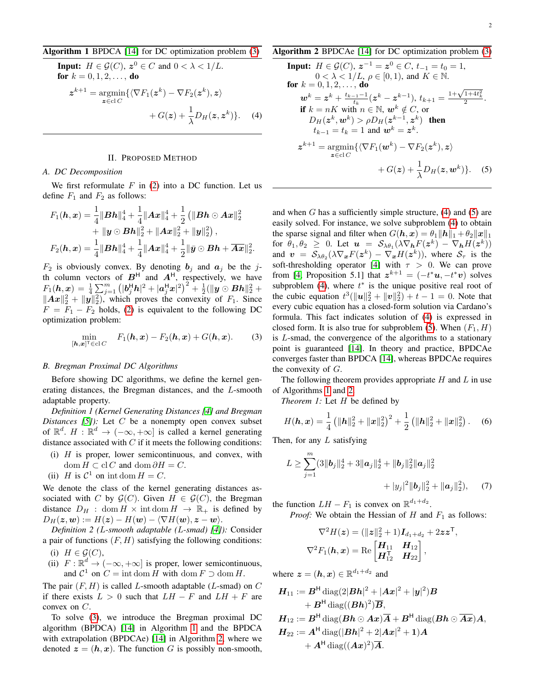### <span id="page-1-1"></span>Algorithm 1 BPDCA [\[14\]](#page-4-9) for DC optimization problem [\(3\)](#page-1-0)

**Input:** 
$$
H \in \mathcal{G}(C), \mathbf{z}^0 \in C
$$
 and  $0 < \lambda < 1/L$ .  
\n**for**  $k = 0, 1, 2, ...,$  **do**  
\n
$$
\mathbf{z}^{k+1} = \underset{\mathbf{z} \in \text{cl } C}{\text{argmin}} \{ \langle \nabla F_1(\mathbf{z}^k) - \nabla F_2(\mathbf{z}^k), \mathbf{z} \rangle + G(\mathbf{z}) + \frac{1}{\lambda} D_H(\mathbf{z}, \mathbf{z}^k) \}. \tag{4}
$$

### II. PROPOSED METHOD

### *A. DC Decomposition*

We first reformulate  $F$  in [\(2\)](#page-0-1) into a DC function. Let us define  $F_1$  and  $F_2$  as follows:

$$
F_1(\boldsymbol{h}, \boldsymbol{x}) = \frac{1}{4} ||\boldsymbol{B}\boldsymbol{h}||_4^4 + \frac{1}{4} ||\boldsymbol{A}\boldsymbol{x}||_4^4 + \frac{1}{2} (||\boldsymbol{B}\boldsymbol{h} \odot \boldsymbol{A}\boldsymbol{x}||_2^2 + ||\boldsymbol{y} \odot \boldsymbol{B}\boldsymbol{h}||_2^2 + ||\boldsymbol{A}\boldsymbol{x}||_2^2 + ||\boldsymbol{y}||_2^2),
$$
  

$$
F_2(\boldsymbol{h}, \boldsymbol{x}) = \frac{1}{4} ||\boldsymbol{B}\boldsymbol{h}||_4^4 + \frac{1}{4} ||\boldsymbol{A}\boldsymbol{x}||_4^4 + \frac{1}{2} ||\boldsymbol{\bar{y}} \odot \boldsymbol{B}\boldsymbol{h} + \overline{\boldsymbol{A}\boldsymbol{x}}||_2^2.
$$

 $F_2$  is obviously convex. By denoting  $b_i$  and  $a_j$  be the jth column vectors of  $B<sup>H</sup>$  and  $A<sup>H</sup>$ , respectively, we have  $F_1(\bm{h},\bm{x})\,=\,\frac{1}{4}\sum_{j=1}^m\left(|\bm{b}_j^{\sf{H}}\bm{h}|^2+|\bm{a}_j^{\sf{H}}\bm{x}|^2\right)^2+\frac{1}{2}(\|\bm{y}\odot\bm{B}\bm{h}\|_2^2+1)$  $||Ax||_2^2 + ||y||_2^2$ , which proves the convexity of  $F_1$ . Since  $F = F_1 - F_2$  holds, [\(2\)](#page-0-1) is equivalent to the following DC optimization problem:

$$
\min_{[\boldsymbol{h},\boldsymbol{x}]^\top \in \mathrm{cl}\, C} \quad F_1(\boldsymbol{h},\boldsymbol{x}) - F_2(\boldsymbol{h},\boldsymbol{x}) + G(\boldsymbol{h},\boldsymbol{x}).\tag{3}
$$

### *B. Bregman Proximal DC Algorithms*

Before showing DC algorithms, we define the kernel generating distances, the Bregman distances, and the L-smooth adaptable property.

*Definition 1 (Kernel Generating Distances [\[4\]](#page-4-8) and Bregman Distances*  $[5]$ *)*: Let C be a nonempty open convex subset of  $\mathbb{R}^d$ .  $H : \mathbb{R}^d \to (-\infty, +\infty]$  is called a kernel generating distance associated with  $C$  if it meets the following conditions:

- (i)  $H$  is proper, lower semicontinuous, and convex, with dom  $H \subset \text{cl } C$  and dom  $\partial H = C$ .
- (ii) H is  $C^1$  on int dom  $H = C$ .

We denote the class of the kernel generating distances associated with C by  $\mathcal{G}(C)$ . Given  $H \in \mathcal{G}(C)$ , the Bregman distance  $D_H$ : dom  $H \times \text{int dom } H \rightarrow \mathbb{R}_+$  is defined by  $D_H(z, \mathbf{w}) := H(z) - H(\mathbf{w}) - \langle \nabla H(\mathbf{w}), z - \mathbf{w} \rangle.$ 

*Definition 2 (*L*-smooth adaptable (*L*-smad) [\[4\]](#page-4-8)):* Consider a pair of functions  $(F, H)$  satisfying the following conditions:

- (i)  $H \in \mathcal{G}(C)$ ,
- (ii)  $F: \mathbb{R}^d \to (-\infty, +\infty]$  is proper, lower semicontinuous, and  $C^1$  on  $C = \text{int dom } H$  with  $\text{dom } F \supset \text{dom } H$ .

The pair  $(F, H)$  is called L-smooth adaptable (L-smad) on  $C$ if there exists  $L > 0$  such that  $LH - F$  and  $LH + F$  are convex on C.

To solve [\(3\)](#page-1-0), we introduce the Bregman proximal DC algorithm (BPDCA) [\[14\]](#page-4-9) in Algorithm [1](#page-1-1) and the BPDCA with extrapolation (BPDCAe) [\[14\]](#page-4-9) in Algorithm [2,](#page-1-2) where we denoted  $z = (h, x)$ . The function G is possibly non-smooth,

## <span id="page-1-2"></span>Algorithm 2 BPDCAe [\[14\]](#page-4-9) for DC optimization problem [\(3\)](#page-1-0)

<span id="page-1-3"></span>**Input:** 
$$
H \in \mathcal{G}(C), z^{-1} = z^0 \in C, t_{-1} = t_0 = 1,
$$
  
\n $0 < \lambda < 1/L, \rho \in [0, 1),$  and  $K \in \mathbb{N}.$   
\n**for**  $k = 0, 1, 2, ...,$  **do**  
\n $\mathbf{w}^k = z^k + \frac{t_{k-1}-1}{t_k}(z^k - z^{k-1}), t_{k+1} = \frac{1+\sqrt{1+4t_k^2}}{2}.$   
\n**if**  $k = nK$  with  $n \in \mathbb{N}$ ,  $\mathbf{w}^k \notin C$ , or  
\n $D_H(z^k, \mathbf{w}^k) > \rho D_H(z^{k-1}, z^k)$  **then**  
\n $t_{k-1} = t_k = 1$  and  $\mathbf{w}^k = z^k.$   
\n $z^{k+1} = \underset{z \in cl}{\operatorname{argmin}} \{ \langle \nabla F_1(\mathbf{w}^k) - \nabla F_2(z^k), z \rangle$   
\n $+ G(z) + \frac{1}{\lambda} D_H(z, \mathbf{w}^k) \}.$  (5)

<span id="page-1-4"></span>and when  $G$  has a sufficiently simple structure, [\(4\)](#page-1-3) and [\(5\)](#page-1-4) are easily solved. For instance, we solve subproblem [\(4\)](#page-1-3) to obtain the sparse signal and filter when  $G(h, x) = \theta_1 ||h||_1 + \theta_2 ||x||_1$ for  $\theta_1, \theta_2 \geq 0$ . Let  $\boldsymbol{u} = \mathcal{S}_{\lambda \theta_1}(\lambda \nabla_{\boldsymbol{h}} F(\boldsymbol{z}^k) - \nabla_{\boldsymbol{h}} H(\boldsymbol{z}^k))$ and  $v = S_{\lambda\theta_2}(\lambda \nabla_{\bm{x}} F(\bm{z}^k) - \nabla_{\bm{x}} H(\bm{z}^k))$ , where  $S_{\tau}$  is the soft-thresholding operator [\[4\]](#page-4-8) with  $\tau > 0$ . We can prove from [\[4,](#page-4-8) Proposition 5.1] that  $z^{k+1} = (-t^*u, -t^*v)$  solves subproblem [\(4\)](#page-1-3), where  $t^*$  is the unique positive real root of the cubic equation  $t^3(||u||_2^2 + ||u||_2^2) + t - 1 = 0$ . Note that every cubic equation has a closed-form solution via Cardano's formula. This fact indicates solution of [\(4\)](#page-1-3) is expressed in closed form. It is also true for subproblem [\(5\)](#page-1-4). When  $(F_1, H)$ is L-smad, the convergence of the algorithms to a stationary point is guaranteed [\[14\]](#page-4-9). In theory and practice, BPDCAe converges faster than BPDCA [\[14\]](#page-4-9), whereas BPDCAe requires the convexity of G.

<span id="page-1-0"></span>The following theorem provides appropriate  $H$  and  $L$  in use of Algorithms [1](#page-1-1) and [2.](#page-1-2)

<span id="page-1-5"></span>*Theorem 1:* Let H be defined by

$$
H(\boldsymbol{h}, \boldsymbol{x}) = \frac{1}{4} \left( \|\boldsymbol{h}\|_2^2 + \|\boldsymbol{x}\|_2^2 \right)^2 + \frac{1}{2} \left( \|\boldsymbol{h}\|_2^2 + \|\boldsymbol{x}\|_2^2 \right). \tag{6}
$$

Then, for any  $L$  satisfying

$$
L \geq \sum_{j=1}^{m} (3||\boldsymbol{b}_j||_2^4 + 3||\boldsymbol{a}_j||_2^4 + ||\boldsymbol{b}_j||_2^2 ||\boldsymbol{a}_j||_2^2 + ||\boldsymbol{a}_j||_2^2 + ||\boldsymbol{a}_j||_2^2), \quad (7)
$$

the function  $LH - F_1$  is convex on  $\mathbb{R}^{d_1 + d_2}$ .

*Proof:* We obtain the Hessian of  $H$  and  $F_1$  as follows:

<span id="page-1-6"></span>
$$
\nabla^2 H(\mathbf{z}) = (\|\mathbf{z}\|_2^2 + 1) \mathbf{I}_{d_1 + d_2} + 2 \mathbf{z} \mathbf{z}^{\mathsf{T}},
$$
  

$$
\nabla^2 F_1(\mathbf{h}, \mathbf{x}) = \text{Re} \begin{bmatrix} \mathbf{H}_{11} & \mathbf{H}_{12} \\ \mathbf{H}_{12}^{\mathsf{T}} & \mathbf{H}_{22} \end{bmatrix},
$$

where  $\boldsymbol{z} = (\boldsymbol{h}, \boldsymbol{x}) \in \mathbb{R}^{d_1 + d_2}$  and

$$
H_{11} := B^{H} \operatorname{diag}(2|Bh|^{2} + |Ax|^{2} + |y|^{2})B
$$
  
+  $B^{H} \operatorname{diag}((Bh)^{2})\overline{B}$ ,  
 $H_{12} := B^{H} \operatorname{diag}(Bh \odot Ax)\overline{A} + B^{H} \operatorname{diag}(Bh \odot \overline{Ax})A$ ,  
 $H_{22} := A^{H} \operatorname{diag}(|Bh|^{2} + 2|Ax|^{2} + 1)A$   
+  $A^{H} \operatorname{diag}((Ax)^{2})\overline{A}$ .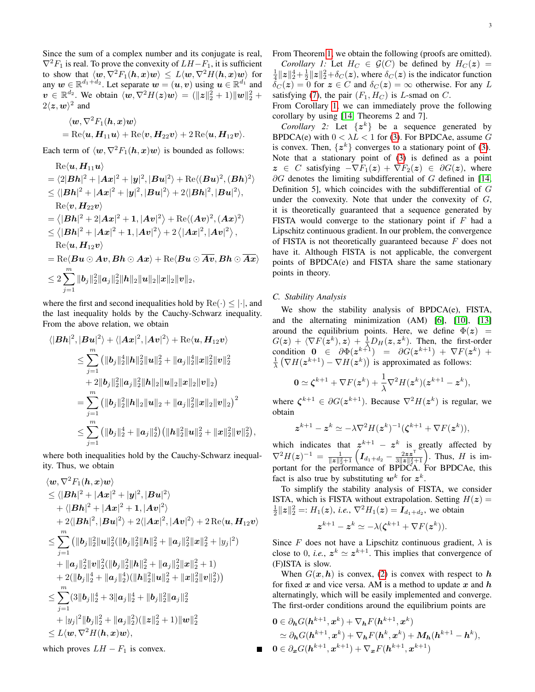Since the sum of a complex number and its conjugate is real,  $\nabla^2 F_1$  is real. To prove the convexity of  $LH-F_1$ , it is sufficient to show that  $\langle \bm w, \nabla^2F_1(\bm h,\bm x)\bm w\rangle\,\leq\,L\langle \bm w, \nabla^2H(\bm h,\bm x)\bm w\rangle$  for any  $w \in \mathbb{R}^{d_1+d_2}$ . Let separate  $w = (u, v)$  using  $u \in \mathbb{R}^{d_1}$  and  $v \in \mathbb{R}^{d_2}$ . We obtain  $\langle w, \nabla^2 H(z)w \rangle = (\|z\|_2^2 + 1) \|w\|_2^2 +$  $2\langle z, w\rangle^2$  and

$$
\langle \boldsymbol{w}, \nabla^2 F_1(\boldsymbol{h}, \boldsymbol{x}) \boldsymbol{w} \rangle = \text{Re}\langle \boldsymbol{u}, \boldsymbol{H}_{11} \boldsymbol{u} \rangle + \text{Re}\langle \boldsymbol{v}, \boldsymbol{H}_{22} \boldsymbol{v} \rangle + 2 \text{Re}\langle \boldsymbol{u}, \boldsymbol{H}_{12} \boldsymbol{v} \rangle.
$$

Each term of  $\langle w, \nabla^2 F_1(h, x)w \rangle$  is bounded as follows:

$$
\operatorname{Re}\langle \mathbf{u}, \mathbf{H}_{11}\mathbf{u}\rangle \n= \langle 2|\mathbf{B}\mathbf{h}|^2 + |\mathbf{A}\mathbf{x}|^2 + |\mathbf{y}|^2, |\mathbf{B}\mathbf{u}|^2 \rangle + \operatorname{Re}\langle (\mathbf{B}\mathbf{u})^2, (\mathbf{B}\mathbf{h})^2 \rangle \n\leq \langle |\mathbf{B}\mathbf{h}|^2 + |\mathbf{A}\mathbf{x}|^2 + |\mathbf{y}|^2, |\mathbf{B}\mathbf{u}|^2 \rangle + 2\langle |\mathbf{B}\mathbf{h}|^2, |\mathbf{B}\mathbf{u}|^2 \rangle, \n\operatorname{Re}\langle \mathbf{v}, \mathbf{H}_{22}\mathbf{v} \rangle \n= \langle |\mathbf{B}\mathbf{h}|^2 + 2|\mathbf{A}\mathbf{x}|^2 + 1, |\mathbf{A}\mathbf{v}|^2 \rangle + \operatorname{Re}\langle (\mathbf{A}\mathbf{v})^2, (\mathbf{A}\mathbf{x})^2 \rangle \n\leq \langle |\mathbf{B}\mathbf{h}|^2 + |\mathbf{A}\mathbf{x}|^2 + 1, |\mathbf{A}\mathbf{v}|^2 \rangle + 2 \langle |\mathbf{A}\mathbf{x}|^2, |\mathbf{A}\mathbf{v}|^2 \rangle, \n\operatorname{Re}\langle \mathbf{u}, \mathbf{H}_{12}\mathbf{v} \rangle \n= \operatorname{Re}\langle \mathbf{B}\mathbf{u} \odot \mathbf{A}\mathbf{v}, \mathbf{B}\mathbf{h} \odot \mathbf{A}\mathbf{x} \rangle + \operatorname{Re}\langle \mathbf{B}\mathbf{u} \odot \mathbf{A}\mathbf{v}, \mathbf{B}\mathbf{h} \odot \mathbf{A}\mathbf{x} \rangle \n\leq 2 \sum_{j=1}^{m} ||\mathbf{b}_j||_2^2 ||\mathbf{a}_j||_2^2 ||\mathbf{h}||_2 ||\mathbf{u}||_2 ||\mathbf{x}||_2 ||\mathbf{v}||_2,
$$

where the first and second inequalities hold by  $\text{Re}(\cdot) \leq |\cdot|$ , and the last inequality holds by the Cauchy-Schwarz inequality. From the above relation, we obtain

$$
\langle |\mathbf{B} \mathbf{h}|^2, |\mathbf{B} \mathbf{u}|^2 \rangle + \langle |\mathbf{A} \mathbf{x}|^2, |\mathbf{A} \mathbf{v}|^2 \rangle + \text{Re}\langle \mathbf{u}, \mathbf{H}_{12} \mathbf{v} \rangle
$$
  
\n
$$
\leq \sum_{j=1}^m (||\mathbf{b}_j||_2^4 ||\mathbf{h}||_2^2 ||\mathbf{u}||_2^2 + ||\mathbf{a}_j||_2^4 ||\mathbf{x}||_2^2 ||\mathbf{v}||_2^2
$$
  
\n
$$
+ 2 ||\mathbf{b}_j||_2^2 ||\mathbf{a}_j||_2^2 ||\mathbf{h}||_2 ||\mathbf{u}||_2 ||\mathbf{x}||_2 ||\mathbf{v}||_2)
$$
  
\n
$$
= \sum_{j=1}^m (||\mathbf{b}_j||_2^2 ||\mathbf{h}||_2 ||\mathbf{u}||_2 + ||\mathbf{a}_j||_2^2 ||\mathbf{x}||_2 ||\mathbf{v}||_2)^2
$$
  
\n
$$
\leq \sum_{j=1}^m (||\mathbf{b}_j||_2^4 + ||\mathbf{a}_j||_2^4) (||\mathbf{h}||_2^2 ||\mathbf{u}||_2^2 + ||\mathbf{x}||_2^2 ||\mathbf{v}||_2^2),
$$

where both inequalities hold by the Cauchy-Schwarz inequality. Thus, we obtain

$$
\langle \mathbf{w}, \nabla^2 F_1(\mathbf{h}, \mathbf{x}) \mathbf{w} \rangle
$$
  
\n
$$
\leq \langle |\mathbf{B}\mathbf{h}|^2 + |\mathbf{A}\mathbf{x}|^2 + |\mathbf{y}|^2, |\mathbf{B}\mathbf{u}|^2 \rangle
$$
  
\n
$$
+ \langle |\mathbf{B}\mathbf{h}|^2 + |\mathbf{A}\mathbf{x}|^2 + 1, |\mathbf{A}\mathbf{v}|^2 \rangle
$$
  
\n
$$
+ 2\langle |\mathbf{B}\mathbf{h}|^2, |\mathbf{B}\mathbf{u}|^2 \rangle + 2\langle |\mathbf{A}\mathbf{x}|^2, |\mathbf{A}\mathbf{v}|^2 \rangle + 2 \operatorname{Re} \langle \mathbf{u}, \mathbf{H}_{12} \mathbf{v} \rangle
$$
  
\n
$$
\leq \sum_{j=1}^m (||\mathbf{b}_j||_2^2 ||\mathbf{u}||_2^2 (||\mathbf{b}_j||_2^2 ||\mathbf{h}||_2^2 + ||\mathbf{a}_j||_2^2 ||\mathbf{x}||_2^2 + |y_j|^2)
$$
  
\n
$$
+ ||\mathbf{a}_j||_2^2 ||\mathbf{v}||_2^2 (||\mathbf{b}_j||_2^2 ||\mathbf{h}||_2^2 + ||\mathbf{a}_j||_2^2 ||\mathbf{x}||_2^2 + 1)
$$
  
\n
$$
+ 2(||\mathbf{b}_j||_2^4 + ||\mathbf{a}_j||_2^4) (||\mathbf{h}||_2^2 ||\mathbf{u}||_2^2 + ||\mathbf{x}||_2^2 ||\mathbf{v}||_2^2)
$$
  
\n
$$
\leq \sum_{j=1}^m (3||\mathbf{b}_j||_2^4 + 3||\mathbf{a}_j||_2^4 + ||\mathbf{b}_j||_2^2 ||\mathbf{a}_j||_2^2
$$
  
\n
$$
+ |y_j|^2 ||\mathbf{b}_j||_2^2 + ||\mathbf{a}_j||_2^2) (||\mathbf{z}||_2^2 + 1) ||\mathbf{w}||_2^2
$$
  
\n
$$
\leq L \langle \mathbf{w}, \nabla^2 H(\mathbf{h}, \math
$$

From Theorem [1,](#page-1-5) we obtain the following (proofs are omitted). *Corollary 1:* Let  $H_C \in \mathcal{G}(C)$  be defined by  $H_C(z) =$ 

<span id="page-2-0"></span> $\frac{1}{4}||z||_2^4 + \frac{1}{2}||z||_2^2 + \delta_C(z)$ , where  $\delta_C(z)$  is the indicator function  $\delta_C(z) = 0$  for  $z \in C$  and  $\delta_C(z) = \infty$  otherwise. For any L satisfying [\(7\)](#page-1-6), the pair  $(F_1, H_C)$  is *L*-smad on *C*.

From Corollary [1,](#page-2-0) we can immediately prove the following corollary by using [\[14,](#page-4-9) Theorems 2 and 7].

*Corollary 2:* Let  $\{z^k\}$  be a sequence generated by BPDCA(e) with  $0 < \lambda L < 1$  for [\(3\)](#page-1-0). For BPDCAe, assume G is convex. Then,  $\{z^k\}$  converges to a stationary point of [\(3\)](#page-1-0). Note that a stationary point of [\(3\)](#page-1-0) is defined as a point  $z \in C$  satisfying  $-\nabla F_1(z) + \nabla F_2(z) \in \partial G(z)$ , where  $\partial G$  denotes the limiting subdifferential of G defined in [\[14,](#page-4-9) Definition 5], which coincides with the subdifferential of G under the convexity. Note that under the convexity of  $G$ , it is theoretically guaranteed that a sequence generated by FISTA would converge to the stationary point if  $F$  had a Lipschitz continuous gradient. In our problem, the convergence of FISTA is not theoretically guaranteed because  $F$  does not have it. Although FISTA is not applicable, the convergent points of BPDCA(e) and FISTA share the same stationary points in theory.

### <span id="page-2-1"></span>*C. Stability Analysis*

We show the stability analysis of BPDCA(e), FISTA, and the alternating minimization (AM) [\[6\]](#page-4-11), [\[10\]](#page-4-12), [\[13\]](#page-4-13) around the equilibrium points. Here, we define  $\Phi(z)$  =  $G(z) + \langle \nabla F(z^k), z \rangle + \frac{1}{\lambda} D_H(z, z^k)$ . Then, the first-order condition  $0 \in \partial \Phi(z^{k+1}) = \partial G(z^{k+1}) + \nabla F(z^k) +$  $\frac{1}{\lambda} (\nabla H(\mathbf{z}^{k+1}) - \nabla H(\mathbf{z}^k))$  is approximated as follows:

$$
\mathbf{0} \simeq \boldsymbol{\zeta}^{k+1} + \nabla F(\boldsymbol{z}^k) + \frac{1}{\lambda} \nabla^2 H(\boldsymbol{z}^k) (\boldsymbol{z}^{k+1} - \boldsymbol{z}^k),
$$

where  $\zeta^{k+1} \in \partial G(z^{k+1})$ . Because  $\nabla^2 H(z^k)$  is regular, we obtain

$$
\boldsymbol{z}^{k+1} - \boldsymbol{z}^k \simeq -\lambda \nabla^2 H(\boldsymbol{z}^k)^{-1} (\boldsymbol{\zeta}^{k+1} + \nabla F(\boldsymbol{z}^k)),
$$

which indicates that  $z^{k+1} - z^k$  is greatly affected by  $\nabla^2 H(z)^{-1} = \frac{1}{\|z\|_2^2 + 1} \left( I_{d_1 + d_2} - \frac{2zz^\mathsf{T}}{3\|z\|_2^2 + 1} \right)$ . Thus, H is important for the performance of BPDCA. For BPDCAe, this fact is also true by substituting  $w^k$  for  $z^k$ .

To simplify the stability analysis of FISTA, we consider ISTA, which is FISTA without extrapolation. Setting  $H(z) =$  $\frac{1}{2}||z||_2^2 =: H_1(z)$ , *i.e.*,  $\nabla^2 H_1(z) = I_{d_1+d_2}$ , we obtain

$$
z^{k+1} - z^k \simeq -\lambda(\zeta^{k+1} + \nabla F(z^k)).
$$

Since F does not have a Lipschitz continuous gradient,  $\lambda$  is close to 0, *i.e.*,  $z^k \approx z^{k+1}$ . This implies that convergence of (F)ISTA is slow.

When  $G(x, h)$  is convex, [\(2\)](#page-0-1) is convex with respect to h for fixed x and vice versa. AM is a method to update x and  $h$ alternatingly, which will be easily implemented and converge. The first-order conditions around the equilibrium points are

$$
0 \in \partial_{\mathbf{h}} G(\mathbf{h}^{k+1}, \mathbf{x}^{k}) + \nabla_{\mathbf{h}} F(\mathbf{h}^{k+1}, \mathbf{x}^{k})
$$
  
\n
$$
\simeq \partial_{\mathbf{h}} G(\mathbf{h}^{k+1}, \mathbf{x}^{k}) + \nabla_{\mathbf{h}} F(\mathbf{h}^{k}, \mathbf{x}^{k}) + M_{\mathbf{h}}(\mathbf{h}^{k+1} - \mathbf{h}^{k}),
$$
  
\n
$$
0 \in \partial_{\mathbf{x}} G(\mathbf{h}^{k+1}, \mathbf{x}^{k+1}) + \nabla_{\mathbf{x}} F(\mathbf{h}^{k+1}, \mathbf{x}^{k+1})
$$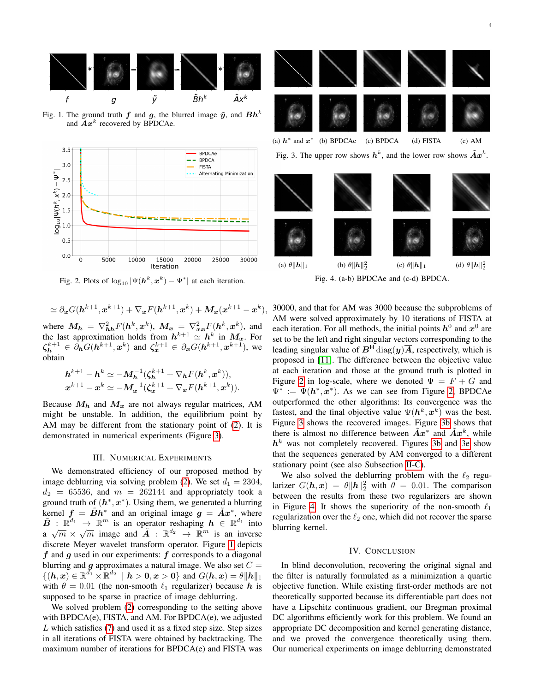<span id="page-3-1"></span>

Fig. 1. The ground truth f and g, the blurred image  $\tilde{y}$ , and  $Bh^k$ and  $\overline{A}x^k$  recovered by BPDCAe.

<span id="page-3-2"></span>

Fig. 2. Plots of  $\log_{10} |\Psi(h^k, \boldsymbol{x}^k) - \Psi^*|$  at each iteration.

$$
\simeq \partial_{\boldsymbol{x}} G(\boldsymbol{h}^{k+1},\boldsymbol{x}^{k+1}) + \nabla_{\boldsymbol{x}} F(\boldsymbol{h}^{k+1},\boldsymbol{x}^k) + \boldsymbol{M}_{\boldsymbol{x}}(\boldsymbol{x}^{k+1} - \boldsymbol{x}^k),
$$

where  $M_h = \nabla^2_{hh} F(h^k, x^k)$ ,  $M_x = \nabla^2_{xx} F(h^k, x^k)$ , and the last approximation holds from  $h^{k+1} \simeq h^k$  in  $M_x$ . For  $\zeta_{\mathbf{h}}^{k+1} \in \partial_{\mathbf{h}} G(\mathbf{h}^{k+1}, \mathbf{x}^{k})$  and  $\zeta_{\mathbf{x}}^{k+1} \in \partial_{\mathbf{x}} G(\mathbf{h}^{k+1}, \mathbf{x}^{k+1})$ , we obtain

$$
h^{k+1} - h^k \simeq -M_h^{-1}(\zeta_h^{k+1} + \nabla_h F(h^k, x^k)),
$$
  

$$
x^{k+1} - x^k \simeq -M_x^{-1}(\zeta_x^{k+1} + \nabla_x F(h^{k+1}, x^k)).
$$

Because  $M_h$  and  $M_x$  are not always regular matrices, AM might be unstable. In addition, the equilibrium point by AM may be different from the stationary point of [\(2\)](#page-0-1). It is demonstrated in numerical experiments (Figure [3\)](#page-3-0).

### III. NUMERICAL EXPERIMENTS

We demonstrated efficiency of our proposed method by image deblurring via solving problem [\(2\)](#page-0-1). We set  $d_1 = 2304$ ,  $d_2 = 65536$ , and  $m = 262144$  and appropriately took a ground truth of  $(h^*, x^*)$ . Using them, we generated a blurring kernel  $\mathbf{f} = \tilde{\mathbf{B}} \hat{\mathbf{h}}^*$  and an original image  $\mathbf{g} = \tilde{\mathbf{A}} \mathbf{x}^*$ , where  $\tilde{B}$  :  $\mathbb{R}^{d_1} \to \mathbb{R}^m$  is an operator reshaping  $h \in \mathbb{R}^{d_1}$  into a  $\sqrt{m} \times \sqrt{m}$  image and  $\tilde{A}$  :  $\mathbb{R}^{d_2} \to \mathbb{R}^m$  is an inverse discrete Meyer wavelet transform operator. Figure [1](#page-3-1) depicts  $f$  and  $g$  used in our experiments:  $f$  corresponds to a diagonal blurring and  $g$  approximates a natural image. We also set  $C =$  $\{(h, x) \in \mathbb{R}^{d_1} \times \mathbb{R}^{d_2} \mid h > 0, x > 0\}$  and  $G(h, x) = \theta \|h\|_1$ with  $\theta = 0.01$  (the non-smooth  $\ell_1$  regularizer) because h is supposed to be sparse in practice of image deblurring.

We solved problem [\(2\)](#page-0-1) corresponding to the setting above with BPDCA(e), FISTA, and AM. For BPDCA(e), we adjusted  $L$  which satisfies [\(7\)](#page-1-6) and used it as a fixed step size. Step sizes in all iterations of FISTA were obtained by backtracking. The maximum number of iterations for BPDCA(e) and FISTA was

<span id="page-3-0"></span>

Fig. 3. The upper row shows  $h^k$ , and the lower row shows  $\tilde{A}x^k$ .

<span id="page-3-3"></span>

Fig. 4. (a-b) BPDCAe and (c-d) BPDCA.

30000, and that for AM was 3000 because the subproblems of AM were solved approximately by 10 iterations of FISTA at each iteration. For all methods, the initial points  $h^0$  and  $x^0$  are set to be the left and right singular vectors corresponding to the leading singular value of  $B^H$  diag(y) $\overline{A}$ , respectively, which is proposed in [\[11\]](#page-4-14). The difference between the objective value at each iteration and those at the ground truth is plotted in Figure [2](#page-3-2) in log-scale, where we denoted  $\Psi = F + G$  and  $\Psi^* := \Psi(h^*, x^*)$ . As we can see from Figure [2,](#page-3-2) BPDCAe outperformed the other algorithms: Its convergence was the fastest, and the final objective value  $\Psi(h^k, x^k)$  was the best. Figure [3](#page-3-0) shows the recovered images. Figure [3b](#page-3-0) shows that there is almost no difference between  $\tilde{A}x^*$  and  $\tilde{A}x^k$ , while  $h<sup>k</sup>$  was not completely recovered. Figures [3b](#page-3-0) and [3e](#page-3-0) show that the sequences generated by AM converged to a different stationary point (see also Subsection [II-C\)](#page-2-1).

We also solved the deblurring problem with the  $\ell_2$  regularizer  $G(h, x) = \theta ||h||_2^2$  with  $\theta = 0.01$ . The comparison between the results from these two regularizers are shown in Figure [4.](#page-3-3) It shows the superiority of the non-smooth  $\ell_1$ regularization over the  $\ell_2$  one, which did not recover the sparse blurring kernel.

### IV. CONCLUSION

In blind deconvolution, recovering the original signal and the filter is naturally formulated as a minimization a quartic objective function. While existing first-order methods are not theoretically supported because its differentiable part does not have a Lipschitz continuous gradient, our Bregman proximal DC algorithms efficiently work for this problem. We found an appropriate DC decomposition and kernel generating distance, and we proved the convergence theoretically using them. Our numerical experiments on image deblurring demonstrated